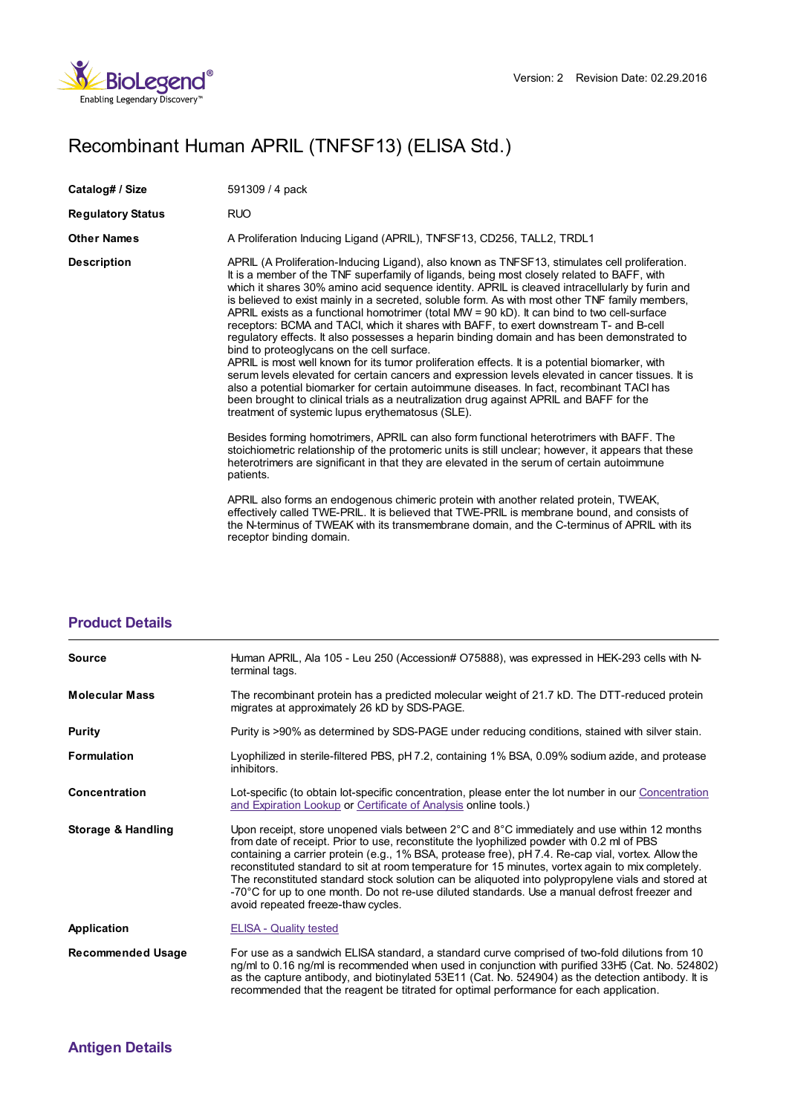

## Recombinant Human APRIL (TNFSF13) (ELISA Std.)

| Catalog# / Size          | 591309 / 4 pack                                                                                                                                                                                                                                                                                                                                                                                                                                                                                                                                                                                                                                                                                                                                                                                                                                                                                                                                                                                                                                                                                                                                                                                |
|--------------------------|------------------------------------------------------------------------------------------------------------------------------------------------------------------------------------------------------------------------------------------------------------------------------------------------------------------------------------------------------------------------------------------------------------------------------------------------------------------------------------------------------------------------------------------------------------------------------------------------------------------------------------------------------------------------------------------------------------------------------------------------------------------------------------------------------------------------------------------------------------------------------------------------------------------------------------------------------------------------------------------------------------------------------------------------------------------------------------------------------------------------------------------------------------------------------------------------|
| <b>Regulatory Status</b> | RUO                                                                                                                                                                                                                                                                                                                                                                                                                                                                                                                                                                                                                                                                                                                                                                                                                                                                                                                                                                                                                                                                                                                                                                                            |
| <b>Other Names</b>       | A Proliferation Inducing Ligand (APRIL), TNFSF13, CD256, TALL2, TRDL1                                                                                                                                                                                                                                                                                                                                                                                                                                                                                                                                                                                                                                                                                                                                                                                                                                                                                                                                                                                                                                                                                                                          |
| <b>Description</b>       | APRIL (A Proliferation-Inducing Ligand), also known as TNFSF13, stimulates cell proliferation.<br>It is a member of the TNF superfamily of ligands, being most closely related to BAFF, with<br>which it shares 30% amino acid sequence identity. APRIL is cleaved intracellularly by furin and<br>is believed to exist mainly in a secreted, soluble form. As with most other TNF family members,<br>APRIL exists as a functional homotrimer (total MW = $90$ kD). It can bind to two cell-surface<br>receptors: BCMA and TACI, which it shares with BAFF, to exert downstream T- and B-cell<br>regulatory effects. It also possesses a heparin binding domain and has been demonstrated to<br>bind to proteoglycans on the cell surface.<br>APRIL is most well known for its tumor proliferation effects. It is a potential biomarker, with<br>serum levels elevated for certain cancers and expression levels elevated in cancer tissues. It is<br>also a potential biomarker for certain autoimmune diseases. In fact, recombinant TACI has<br>been brought to clinical trials as a neutralization drug against APRIL and BAFF for the<br>treatment of systemic lupus erythematosus (SLE). |
|                          | Besides forming homotrimers, APRIL can also form functional heterotrimers with BAFF. The<br>stoichiometric relationship of the protomeric units is still unclear; however, it appears that these<br>heterotrimers are significant in that they are elevated in the serum of certain autoimmune<br>patients.<br>APRIL also forms an endogenous chimeric protein with another related protein, TWEAK,<br>effectively called TWE-PRIL. It is believed that TWE-PRIL is membrane bound, and consists of<br>the N-terminus of TWEAK with its transmembrane domain, and the C-terminus of APRIL with its<br>receptor binding domain.                                                                                                                                                                                                                                                                                                                                                                                                                                                                                                                                                                 |

| <b>Product Details</b> |  |
|------------------------|--|
|------------------------|--|

| <b>Source</b>                 | Human APRIL, Ala 105 - Leu 250 (Accession# O75888), was expressed in HEK-293 cells with N-<br>terminal tags.                                                                                                                                                                                                                                                                                                                                                                                                                                                                                                                                    |
|-------------------------------|-------------------------------------------------------------------------------------------------------------------------------------------------------------------------------------------------------------------------------------------------------------------------------------------------------------------------------------------------------------------------------------------------------------------------------------------------------------------------------------------------------------------------------------------------------------------------------------------------------------------------------------------------|
| <b>Molecular Mass</b>         | The recombinant protein has a predicted molecular weight of 21.7 kD. The DTT-reduced protein<br>migrates at approximately 26 kD by SDS-PAGE.                                                                                                                                                                                                                                                                                                                                                                                                                                                                                                    |
| Purity                        | Purity is >90% as determined by SDS-PAGE under reducing conditions, stained with silver stain.                                                                                                                                                                                                                                                                                                                                                                                                                                                                                                                                                  |
| <b>Formulation</b>            | Lyophilized in sterile-filtered PBS, pH 7.2, containing 1% BSA, 0.09% sodium azide, and protease<br>inhibitors.                                                                                                                                                                                                                                                                                                                                                                                                                                                                                                                                 |
| Concentration                 | Lot-specific (to obtain lot-specific concentration, please enter the lot number in our Concentration<br>and Expiration Lookup or Certificate of Analysis online tools.)                                                                                                                                                                                                                                                                                                                                                                                                                                                                         |
| <b>Storage &amp; Handling</b> | Upon receipt, store unopened vials between 2°C and 8°C immediately and use within 12 months<br>from date of receipt. Prior to use, reconstitute the lyophilized powder with 0.2 ml of PBS<br>containing a carrier protein (e.g., 1% BSA, protease free), pH 7.4. Re-cap vial, vortex. Allow the<br>reconstituted standard to sit at room temperature for 15 minutes, vortex again to mix completely.<br>The reconstituted standard stock solution can be aliquoted into polypropylene vials and stored at<br>-70°C for up to one month. Do not re-use diluted standards. Use a manual defrost freezer and<br>avoid repeated freeze-thaw cycles. |
| Application                   | <b>ELISA - Quality tested</b>                                                                                                                                                                                                                                                                                                                                                                                                                                                                                                                                                                                                                   |
| <b>Recommended Usage</b>      | For use as a sandwich ELISA standard, a standard curve comprised of two-fold dilutions from 10<br>ng/ml to 0.16 ng/ml is recommended when used in conjunction with purified 33H5 (Cat. No. 524802)<br>as the capture antibody, and biotinylated 53E11 (Cat. No. 524904) as the detection antibody. It is<br>recommended that the reagent be titrated for optimal performance for each application.                                                                                                                                                                                                                                              |